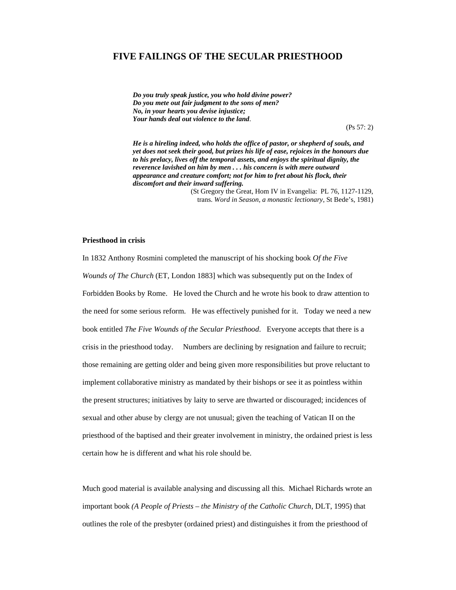# **FIVE FAILINGS OF THE SECULAR PRIESTHOOD**

*Do you truly speak justice, you who hold divine power? Do you mete out fair judgment to the sons of men? No, in your hearts you devise injustice; Your hands deal out violence to the land*.

(Ps 57: 2)

*He is a hireling indeed, who holds the office of pastor, or shepherd of souls, and yet does not seek their good, but prizes his life of ease, rejoices in the honours due to his prelacy, lives off the temporal assets, and enjoys the spiritual dignity, the reverence lavished on him by men . . . his concern is with mere outward appearance and creature comfort; not for him to fret about his flock, their discomfort and their inward suffering.* 

> (St Gregory the Great, Hom IV in Evangelia: PL 76, 1127-1129, trans. *Word in Season, a monastic lectionary*, St Bede's, 1981)

# **Priesthood in crisis**

In 1832 Anthony Rosmini completed the manuscript of his shocking book *Of the Five Wounds of The Church* (ET, London 1883] which was subsequently put on the Index of Forbidden Books by Rome. He loved the Church and he wrote his book to draw attention to the need for some serious reform. He was effectively punished for it. Today we need a new book entitled *The Five Wounds of the Secular Priesthood*. Everyone accepts that there is a crisis in the priesthood today. Numbers are declining by resignation and failure to recruit; those remaining are getting older and being given more responsibilities but prove reluctant to implement collaborative ministry as mandated by their bishops or see it as pointless within the present structures; initiatives by laity to serve are thwarted or discouraged; incidences of sexual and other abuse by clergy are not unusual; given the teaching of Vatican II on the priesthood of the baptised and their greater involvement in ministry, the ordained priest is less certain how he is different and what his role should be.

Much good material is available analysing and discussing all this. Michael Richards wrote an important book *(A People of Priests – the Ministry of the Catholic Church*, DLT, 1995) that outlines the role of the presbyter (ordained priest) and distinguishes it from the priesthood of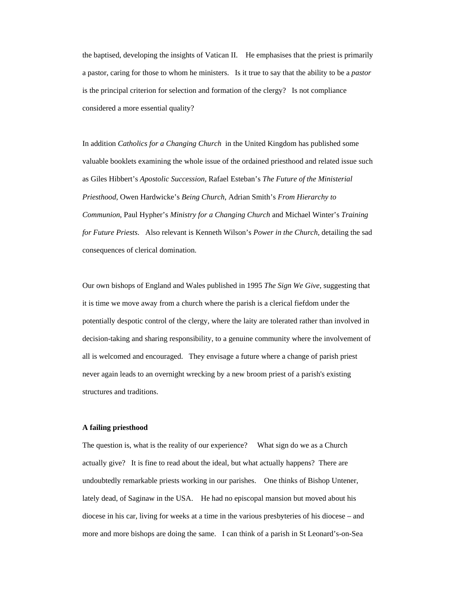the baptised, developing the insights of Vatican II. He emphasises that the priest is primarily a pastor, caring for those to whom he ministers. Is it true to say that the ability to be a *pastor* is the principal criterion for selection and formation of the clergy? Is not compliance considered a more essential quality?

In addition *Catholics for a Changing Church* in the United Kingdom has published some valuable booklets examining the whole issue of the ordained priesthood and related issue such as Giles Hibbert's *Apostolic Succession*, Rafael Esteban's *The Future of the Ministerial Priesthood*, Owen Hardwicke's *Being Church*, Adrian Smith's *From Hierarchy to Communion*, Paul Hypher's *Ministry for a Changing Church* and Michael Winter's *Training for Future Priests*. Also relevant is Kenneth Wilson's *Power in the Church,* detailing the sad consequences of clerical domination.

Our own bishops of England and Wales published in 1995 *The Sign We Give,* suggesting that it is time we move away from a church where the parish is a clerical fiefdom under the potentially despotic control of the clergy, where the laity are tolerated rather than involved in decision-taking and sharing responsibility, to a genuine community where the involvement of all is welcomed and encouraged. They envisage a future where a change of parish priest never again leads to an overnight wrecking by a new broom priest of a parish's existing structures and traditions.

## **A failing priesthood**

The question is, what is the reality of our experience? What sign do we as a Church actually give? It is fine to read about the ideal, but what actually happens? There are undoubtedly remarkable priests working in our parishes. One thinks of Bishop Untener, lately dead, of Saginaw in the USA. He had no episcopal mansion but moved about his diocese in his car, living for weeks at a time in the various presbyteries of his diocese – and more and more bishops are doing the same. I can think of a parish in St Leonard's-on-Sea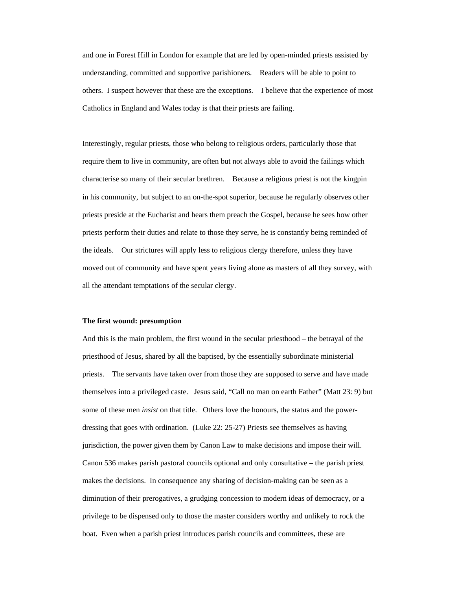and one in Forest Hill in London for example that are led by open-minded priests assisted by understanding, committed and supportive parishioners. Readers will be able to point to others. I suspect however that these are the exceptions. I believe that the experience of most Catholics in England and Wales today is that their priests are failing.

Interestingly, regular priests, those who belong to religious orders, particularly those that require them to live in community, are often but not always able to avoid the failings which characterise so many of their secular brethren. Because a religious priest is not the kingpin in his community, but subject to an on-the-spot superior, because he regularly observes other priests preside at the Eucharist and hears them preach the Gospel, because he sees how other priests perform their duties and relate to those they serve, he is constantly being reminded of the ideals. Our strictures will apply less to religious clergy therefore, unless they have moved out of community and have spent years living alone as masters of all they survey, with all the attendant temptations of the secular clergy.

#### **The first wound: presumption**

And this is the main problem, the first wound in the secular priesthood – the betrayal of the priesthood of Jesus, shared by all the baptised, by the essentially subordinate ministerial priests. The servants have taken over from those they are supposed to serve and have made themselves into a privileged caste. Jesus said, "Call no man on earth Father" (Matt 23: 9) but some of these men *insist* on that title. Others love the honours, the status and the powerdressing that goes with ordination. (Luke 22: 25-27) Priests see themselves as having jurisdiction, the power given them by Canon Law to make decisions and impose their will. Canon 536 makes parish pastoral councils optional and only consultative – the parish priest makes the decisions. In consequence any sharing of decision-making can be seen as a diminution of their prerogatives, a grudging concession to modern ideas of democracy, or a privilege to be dispensed only to those the master considers worthy and unlikely to rock the boat. Even when a parish priest introduces parish councils and committees, these are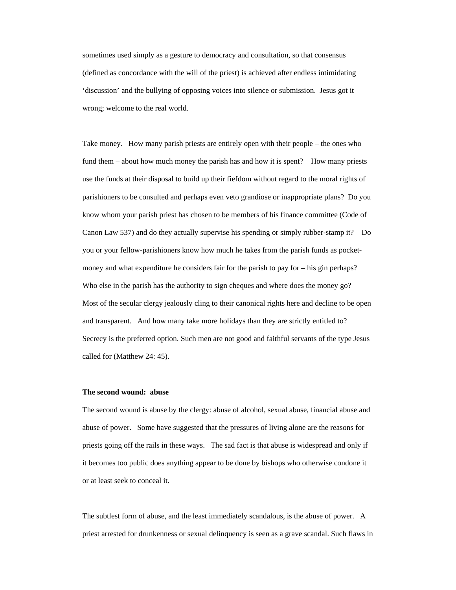sometimes used simply as a gesture to democracy and consultation, so that consensus (defined as concordance with the will of the priest) is achieved after endless intimidating 'discussion' and the bullying of opposing voices into silence or submission. Jesus got it wrong; welcome to the real world.

Take money. How many parish priests are entirely open with their people – the ones who fund them – about how much money the parish has and how it is spent? How many priests use the funds at their disposal to build up their fiefdom without regard to the moral rights of parishioners to be consulted and perhaps even veto grandiose or inappropriate plans? Do you know whom your parish priest has chosen to be members of his finance committee (Code of Canon Law 537) and do they actually supervise his spending or simply rubber-stamp it? Do you or your fellow-parishioners know how much he takes from the parish funds as pocketmoney and what expenditure he considers fair for the parish to pay for – his gin perhaps? Who else in the parish has the authority to sign cheques and where does the money go? Most of the secular clergy jealously cling to their canonical rights here and decline to be open and transparent. And how many take more holidays than they are strictly entitled to? Secrecy is the preferred option. Such men are not good and faithful servants of the type Jesus called for (Matthew 24: 45).

# **The second wound: abuse**

The second wound is abuse by the clergy: abuse of alcohol, sexual abuse, financial abuse and abuse of power. Some have suggested that the pressures of living alone are the reasons for priests going off the rails in these ways. The sad fact is that abuse is widespread and only if it becomes too public does anything appear to be done by bishops who otherwise condone it or at least seek to conceal it.

The subtlest form of abuse, and the least immediately scandalous, is the abuse of power. A priest arrested for drunkenness or sexual delinquency is seen as a grave scandal. Such flaws in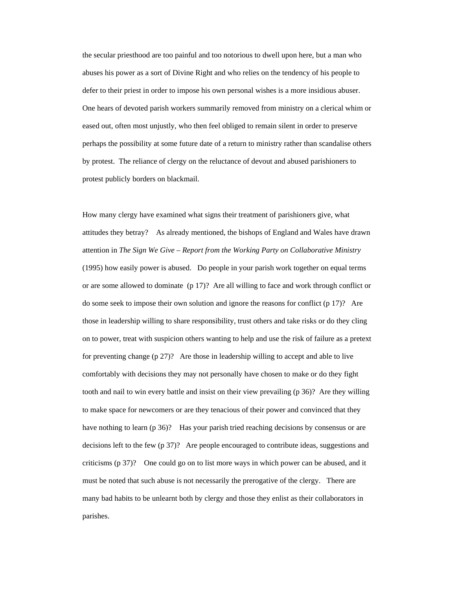the secular priesthood are too painful and too notorious to dwell upon here, but a man who abuses his power as a sort of Divine Right and who relies on the tendency of his people to defer to their priest in order to impose his own personal wishes is a more insidious abuser. One hears of devoted parish workers summarily removed from ministry on a clerical whim or eased out, often most unjustly, who then feel obliged to remain silent in order to preserve perhaps the possibility at some future date of a return to ministry rather than scandalise others by protest. The reliance of clergy on the reluctance of devout and abused parishioners to protest publicly borders on blackmail.

How many clergy have examined what signs their treatment of parishioners give, what attitudes they betray? As already mentioned, the bishops of England and Wales have drawn attention in *The Sign We Give* – *Report from the Working Party on Collaborative Ministry* (1995) how easily power is abused. Do people in your parish work together on equal terms or are some allowed to dominate (p 17)? Are all willing to face and work through conflict or do some seek to impose their own solution and ignore the reasons for conflict (p 17)? Are those in leadership willing to share responsibility, trust others and take risks or do they cling on to power, treat with suspicion others wanting to help and use the risk of failure as a pretext for preventing change (p 27)? Are those in leadership willing to accept and able to live comfortably with decisions they may not personally have chosen to make or do they fight tooth and nail to win every battle and insist on their view prevailing (p 36)? Are they willing to make space for newcomers or are they tenacious of their power and convinced that they have nothing to learn (p 36)? Has your parish tried reaching decisions by consensus or are decisions left to the few (p 37)? Are people encouraged to contribute ideas, suggestions and criticisms (p 37)? One could go on to list more ways in which power can be abused, and it must be noted that such abuse is not necessarily the prerogative of the clergy. There are many bad habits to be unlearnt both by clergy and those they enlist as their collaborators in parishes.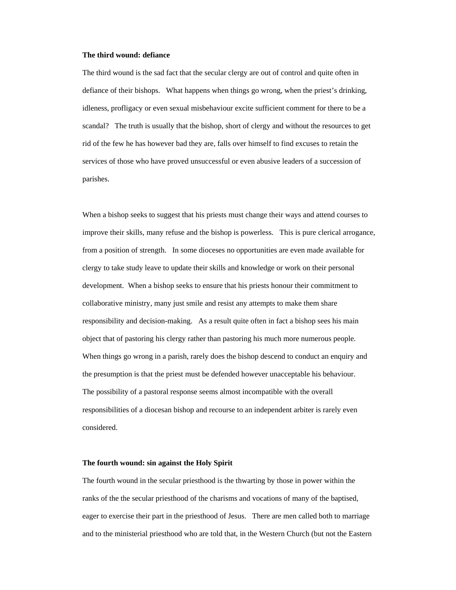#### **The third wound: defiance**

The third wound is the sad fact that the secular clergy are out of control and quite often in defiance of their bishops. What happens when things go wrong, when the priest's drinking, idleness, profligacy or even sexual misbehaviour excite sufficient comment for there to be a scandal? The truth is usually that the bishop, short of clergy and without the resources to get rid of the few he has however bad they are, falls over himself to find excuses to retain the services of those who have proved unsuccessful or even abusive leaders of a succession of parishes.

When a bishop seeks to suggest that his priests must change their ways and attend courses to improve their skills, many refuse and the bishop is powerless. This is pure clerical arrogance, from a position of strength. In some dioceses no opportunities are even made available for clergy to take study leave to update their skills and knowledge or work on their personal development. When a bishop seeks to ensure that his priests honour their commitment to collaborative ministry, many just smile and resist any attempts to make them share responsibility and decision-making. As a result quite often in fact a bishop sees his main object that of pastoring his clergy rather than pastoring his much more numerous people. When things go wrong in a parish, rarely does the bishop descend to conduct an enquiry and the presumption is that the priest must be defended however unacceptable his behaviour. The possibility of a pastoral response seems almost incompatible with the overall responsibilities of a diocesan bishop and recourse to an independent arbiter is rarely even considered.

# **The fourth wound: sin against the Holy Spirit**

The fourth wound in the secular priesthood is the thwarting by those in power within the ranks of the the secular priesthood of the charisms and vocations of many of the baptised, eager to exercise their part in the priesthood of Jesus. There are men called both to marriage and to the ministerial priesthood who are told that, in the Western Church (but not the Eastern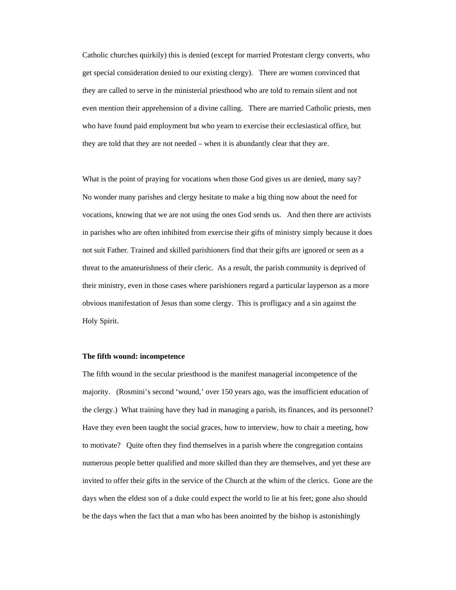Catholic churches quirkily) this is denied (except for married Protestant clergy converts, who get special consideration denied to our existing clergy). There are women convinced that they are called to serve in the ministerial priesthood who are told to remain silent and not even mention their apprehension of a divine calling. There are married Catholic priests, men who have found paid employment but who yearn to exercise their ecclesiastical office, but they are told that they are not needed – when it is abundantly clear that they are.

What is the point of praying for vocations when those God gives us are denied, many say? No wonder many parishes and clergy hesitate to make a big thing now about the need for vocations, knowing that we are not using the ones God sends us. And then there are activists in parishes who are often inhibited from exercise their gifts of ministry simply because it does not suit Father. Trained and skilled parishioners find that their gifts are ignored or seen as a threat to the amateurishness of their cleric. As a result, the parish community is deprived of their ministry, even in those cases where parishioners regard a particular layperson as a more obvious manifestation of Jesus than some clergy. This is profligacy and a sin against the Holy Spirit.

# **The fifth wound: incompetence**

The fifth wound in the secular priesthood is the manifest managerial incompetence of the majority. (Rosmini's second 'wound,' over 150 years ago, was the insufficient education of the clergy.) What training have they had in managing a parish, its finances, and its personnel? Have they even been taught the social graces, how to interview, how to chair a meeting, how to motivate? Quite often they find themselves in a parish where the congregation contains numerous people better qualified and more skilled than they are themselves, and yet these are invited to offer their gifts in the service of the Church at the whim of the clerics. Gone are the days when the eldest son of a duke could expect the world to lie at his feet; gone also should be the days when the fact that a man who has been anointed by the bishop is astonishingly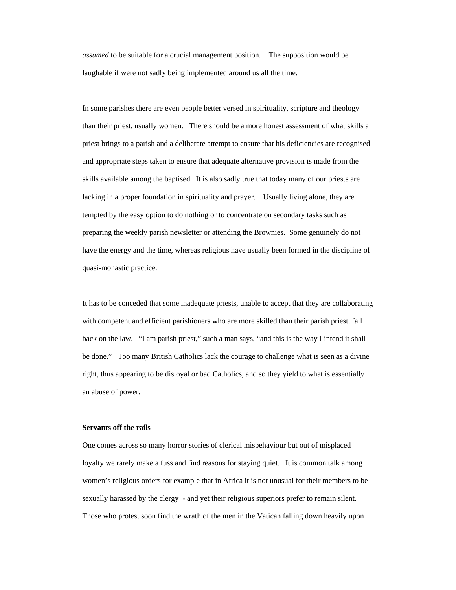*assumed* to be suitable for a crucial management position. The supposition would be laughable if were not sadly being implemented around us all the time.

In some parishes there are even people better versed in spirituality, scripture and theology than their priest, usually women. There should be a more honest assessment of what skills a priest brings to a parish and a deliberate attempt to ensure that his deficiencies are recognised and appropriate steps taken to ensure that adequate alternative provision is made from the skills available among the baptised. It is also sadly true that today many of our priests are lacking in a proper foundation in spirituality and prayer. Usually living alone, they are tempted by the easy option to do nothing or to concentrate on secondary tasks such as preparing the weekly parish newsletter or attending the Brownies. Some genuinely do not have the energy and the time, whereas religious have usually been formed in the discipline of quasi-monastic practice.

It has to be conceded that some inadequate priests, unable to accept that they are collaborating with competent and efficient parishioners who are more skilled than their parish priest, fall back on the law. "I am parish priest," such a man says, "and this is the way I intend it shall be done." Too many British Catholics lack the courage to challenge what is seen as a divine right, thus appearing to be disloyal or bad Catholics, and so they yield to what is essentially an abuse of power.

# **Servants off the rails**

One comes across so many horror stories of clerical misbehaviour but out of misplaced loyalty we rarely make a fuss and find reasons for staying quiet. It is common talk among women's religious orders for example that in Africa it is not unusual for their members to be sexually harassed by the clergy - and yet their religious superiors prefer to remain silent. Those who protest soon find the wrath of the men in the Vatican falling down heavily upon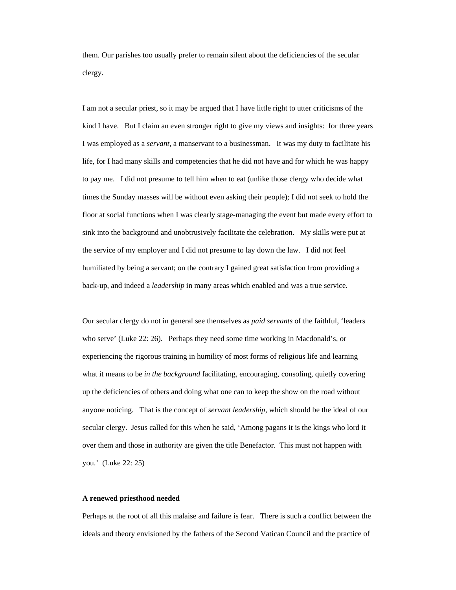them. Our parishes too usually prefer to remain silent about the deficiencies of the secular clergy.

I am not a secular priest, so it may be argued that I have little right to utter criticisms of the kind I have. But I claim an even stronger right to give my views and insights: for three years I was employed as a *servant*, a manservant to a businessman. It was my duty to facilitate his life, for I had many skills and competencies that he did not have and for which he was happy to pay me. I did not presume to tell him when to eat (unlike those clergy who decide what times the Sunday masses will be without even asking their people); I did not seek to hold the floor at social functions when I was clearly stage-managing the event but made every effort to sink into the background and unobtrusively facilitate the celebration. My skills were put at the service of my employer and I did not presume to lay down the law. I did not feel humiliated by being a servant; on the contrary I gained great satisfaction from providing a back-up, and indeed a *leadership* in many areas which enabled and was a true service.

Our secular clergy do not in general see themselves as *paid servants* of the faithful, 'leaders who serve' (Luke 22: 26). Perhaps they need some time working in Macdonald's, or experiencing the rigorous training in humility of most forms of religious life and learning what it means to be *in the background* facilitating, encouraging, consoling, quietly covering up the deficiencies of others and doing what one can to keep the show on the road without anyone noticing. That is the concept of *servant leadership*, which should be the ideal of our secular clergy. Jesus called for this when he said, 'Among pagans it is the kings who lord it over them and those in authority are given the title Benefactor. This must not happen with you.' (Luke 22: 25)

#### **A renewed priesthood needed**

Perhaps at the root of all this malaise and failure is fear. There is such a conflict between the ideals and theory envisioned by the fathers of the Second Vatican Council and the practice of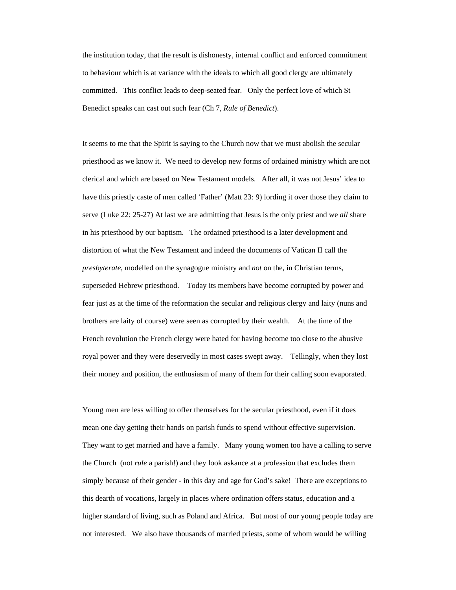the institution today, that the result is dishonesty, internal conflict and enforced commitment to behaviour which is at variance with the ideals to which all good clergy are ultimately committed. This conflict leads to deep-seated fear. Only the perfect love of which St Benedict speaks can cast out such fear (Ch 7, *Rule of Benedict*).

It seems to me that the Spirit is saying to the Church now that we must abolish the secular priesthood as we know it. We need to develop new forms of ordained ministry which are not clerical and which are based on New Testament models. After all, it was not Jesus' idea to have this priestly caste of men called 'Father' (Matt 23: 9) lording it over those they claim to serve (Luke 22: 25-27) At last we are admitting that Jesus is the only priest and we *all* share in his priesthood by our baptism. The ordained priesthood is a later development and distortion of what the New Testament and indeed the documents of Vatican II call the *presbyterate*, modelled on the synagogue ministry and *not* on the, in Christian terms, superseded Hebrew priesthood. Today its members have become corrupted by power and fear just as at the time of the reformation the secular and religious clergy and laity (nuns and brothers are laity of course) were seen as corrupted by their wealth. At the time of the French revolution the French clergy were hated for having become too close to the abusive royal power and they were deservedly in most cases swept away. Tellingly, when they lost their money and position, the enthusiasm of many of them for their calling soon evaporated.

Young men are less willing to offer themselves for the secular priesthood, even if it does mean one day getting their hands on parish funds to spend without effective supervision. They want to get married and have a family. Many young women too have a calling to serve the Church (not *rule* a parish!) and they look askance at a profession that excludes them simply because of their gender - in this day and age for God's sake! There are exceptions to this dearth of vocations, largely in places where ordination offers status, education and a higher standard of living, such as Poland and Africa. But most of our young people today are not interested. We also have thousands of married priests, some of whom would be willing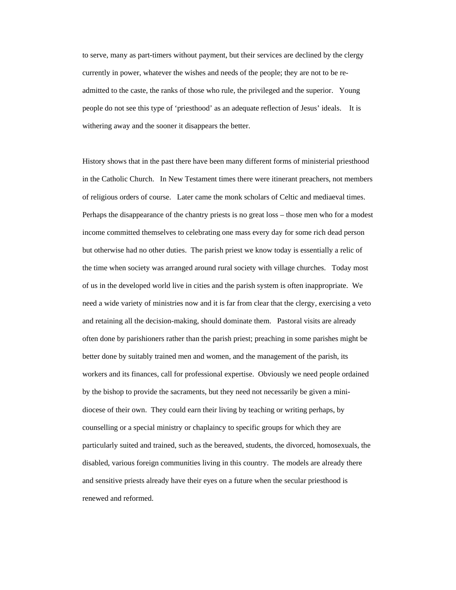to serve, many as part-timers without payment, but their services are declined by the clergy currently in power, whatever the wishes and needs of the people; they are not to be readmitted to the caste, the ranks of those who rule, the privileged and the superior. Young people do not see this type of 'priesthood' as an adequate reflection of Jesus' ideals. It is withering away and the sooner it disappears the better.

History shows that in the past there have been many different forms of ministerial priesthood in the Catholic Church. In New Testament times there were itinerant preachers, not members of religious orders of course. Later came the monk scholars of Celtic and mediaeval times. Perhaps the disappearance of the chantry priests is no great loss – those men who for a modest income committed themselves to celebrating one mass every day for some rich dead person but otherwise had no other duties. The parish priest we know today is essentially a relic of the time when society was arranged around rural society with village churches. Today most of us in the developed world live in cities and the parish system is often inappropriate. We need a wide variety of ministries now and it is far from clear that the clergy, exercising a veto and retaining all the decision-making, should dominate them. Pastoral visits are already often done by parishioners rather than the parish priest; preaching in some parishes might be better done by suitably trained men and women, and the management of the parish, its workers and its finances, call for professional expertise. Obviously we need people ordained by the bishop to provide the sacraments, but they need not necessarily be given a minidiocese of their own. They could earn their living by teaching or writing perhaps, by counselling or a special ministry or chaplaincy to specific groups for which they are particularly suited and trained, such as the bereaved, students, the divorced, homosexuals, the disabled, various foreign communities living in this country. The models are already there and sensitive priests already have their eyes on a future when the secular priesthood is renewed and reformed.